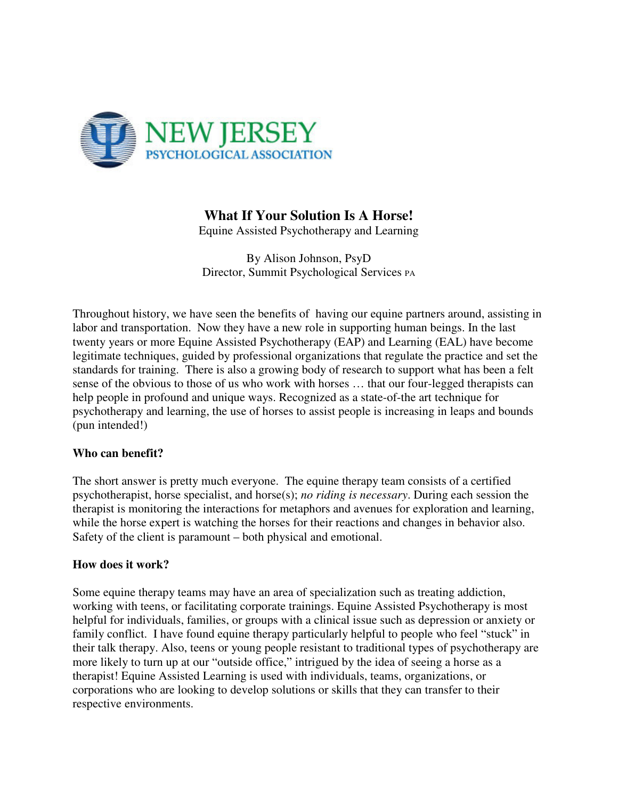

## **What If Your Solution Is A Horse!**

Equine Assisted Psychotherapy and Learning

By Alison Johnson, PsyD Director, Summit Psychological Services PA

Throughout history, we have seen the benefits of having our equine partners around, assisting in labor and transportation. Now they have a new role in supporting human beings. In the last twenty years or more Equine Assisted Psychotherapy (EAP) and Learning (EAL) have become legitimate techniques, guided by professional organizations that regulate the practice and set the standards for training. There is also a growing body of research to support what has been a felt sense of the obvious to those of us who work with horses … that our four-legged therapists can help people in profound and unique ways. Recognized as a state-of-the art technique for psychotherapy and learning, the use of horses to assist people is increasing in leaps and bounds (pun intended!)

## **Who can benefit?**

The short answer is pretty much everyone. The equine therapy team consists of a certified psychotherapist, horse specialist, and horse(s); *no riding is necessary*. During each session the therapist is monitoring the interactions for metaphors and avenues for exploration and learning, while the horse expert is watching the horses for their reactions and changes in behavior also. Safety of the client is paramount – both physical and emotional.

## **How does it work?**

Some equine therapy teams may have an area of specialization such as treating addiction, working with teens, or facilitating corporate trainings. Equine Assisted Psychotherapy is most helpful for individuals, families, or groups with a clinical issue such as depression or anxiety or family conflict. I have found equine therapy particularly helpful to people who feel "stuck" in their talk therapy. Also, teens or young people resistant to traditional types of psychotherapy are more likely to turn up at our "outside office," intrigued by the idea of seeing a horse as a therapist! Equine Assisted Learning is used with individuals, teams, organizations, or corporations who are looking to develop solutions or skills that they can transfer to their respective environments.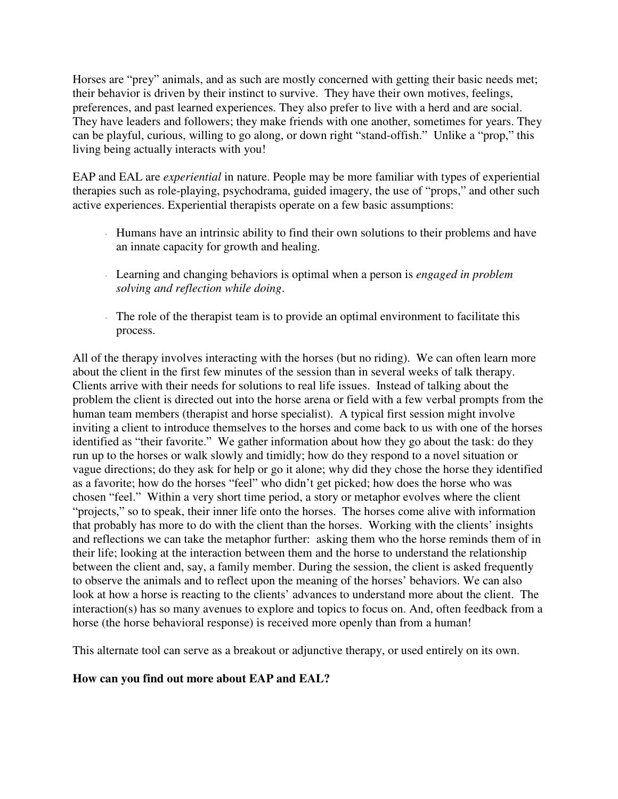Horses are "prey" animals, and as such are mostly concerned with getting their basic needs met; their behavior is driven by their instinct to survive. They have their own motives, feelings, preferences, and past learned experiences. They also prefer to live with a herd and are social. They have leaders and followers; they make friends with one another, sometimes for years. They can be playful, curious, willing to go along, or down right "stand-offish." Unlike a "prop," this living being actually interacts with you!

EAP and EAL are *experiential* in nature. People may be more familiar with types of experiential therapies such as role-playing, psychodrama, guided imagery, the use of "props," and other such active experiences. Experiential therapists operate on a few basic assumptions:

- <sup>⋅</sup> Humans have an intrinsic ability to find their own solutions to their problems and have an innate capacity for growth and healing.
- <sup>⋅</sup> Learning and changing behaviors is optimal when a person is *engaged in problem solving and reflection while doing*.
- <sup>⋅</sup> The role of the therapist team is to provide an optimal environment to facilitate this process.

All of the therapy involves interacting with the horses (but no riding). We can often learn more about the client in the first few minutes of the session than in several weeks of talk therapy. Clients arrive with their needs for solutions to real life issues. Instead of talking about the problem the client is directed out into the horse arena or field with a few verbal prompts from the human team members (therapist and horse specialist). A typical first session might involve inviting a client to introduce themselves to the horses and come back to us with one of the horses identified as "their favorite." We gather information about how they go about the task: do they run up to the horses or walk slowly and timidly; how do they respond to a novel situation or vague directions; do they ask for help or go it alone; why did they chose the horse they identified as a favorite; how do the horses "feel" who didn't get picked; how does the horse who was chosen "feel." Within a very short time period, a story or metaphor evolves where the client "projects," so to speak, their inner life onto the horses. The horses come alive with information that probably has more to do with the client than the horses. Working with the clients' insights and reflections we can take the metaphor further: asking them who the horse reminds them of in their life; looking at the interaction between them and the horse to understand the relationship between the client and, say, a family member. During the session, the client is asked frequently to observe the animals and to reflect upon the meaning of the horses' behaviors. We can also look at how a horse is reacting to the clients' advances to understand more about the client. The interaction(s) has so many avenues to explore and topics to focus on. And, often feedback from a horse (the horse behavioral response) is received more openly than from a human!

This alternate tool can serve as a breakout or adjunctive therapy, or used entirely on its own.

## **How can you find out more about EAP and EAL?**